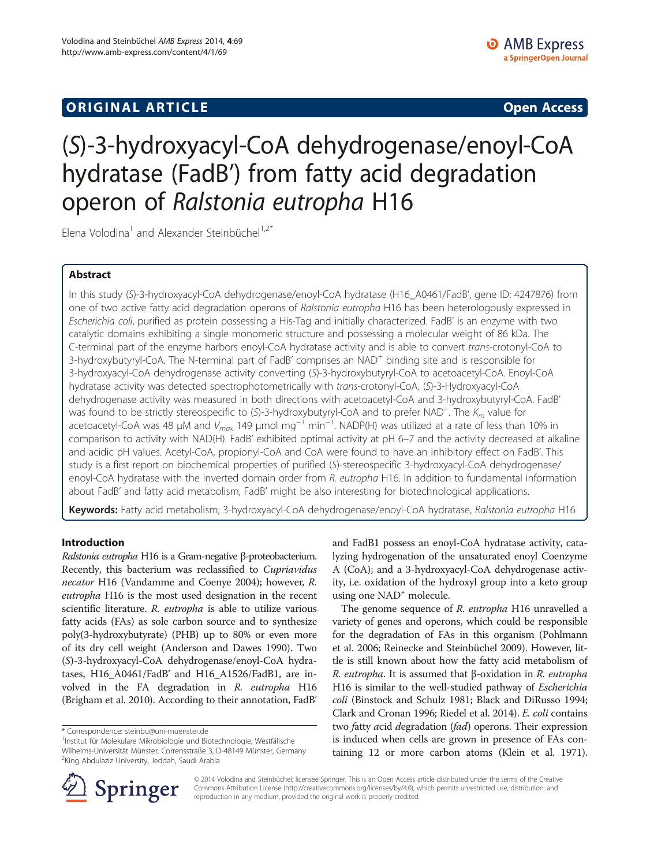## **ORIGINAL ARTICLE CONSUMING A LIGACION CONSUMING A LIGACION CONSUMING A LIGACION**

# (S)-3-hydroxyacyl-CoA dehydrogenase/enoyl-CoA hydratase (FadB') from fatty acid degradation operon of Ralstonia eutropha H16

Elena Volodina<sup>1</sup> and Alexander Steinbüchel<sup>1,2\*</sup>

## Abstract

In this study (S)-3-hydroxyacyl-CoA dehydrogenase/enoyl-CoA hydratase (H16\_A0461/FadB', gene ID: 4247876) from one of two active fatty acid degradation operons of Ralstonia eutropha H16 has been heterologously expressed in Escherichia coli, purified as protein possessing a His-Tag and initially characterized. FadB' is an enzyme with two catalytic domains exhibiting a single monomeric structure and possessing a molecular weight of 86 kDa. The C-terminal part of the enzyme harbors enoyl-CoA hydratase activity and is able to convert trans-crotonyl-CoA to 3-hydroxybutyryl-CoA. The N-terminal part of FadB' comprises an NAD<sup>+</sup> binding site and is responsible for 3-hydroxyacyl-CoA dehydrogenase activity converting (S)-3-hydroxybutyryl-CoA to acetoacetyl-CoA. Enoyl-CoA hydratase activity was detected spectrophotometrically with trans-crotonyl-CoA. (S)-3-Hydroxyacyl-CoA dehydrogenase activity was measured in both directions with acetoacetyl-CoA and 3-hydroxybutyryl-CoA. FadB' was found to be strictly stereospecific to (S)-3-hydroxybutyryl-CoA and to prefer NAD<sup>+</sup>. The  $K_m$  value for acetoacetyl-CoA was 48 μM and V<sub>max</sub> 149 μmol mg<sup>−1</sup> min<sup>−1</sup>. NADP(H) was utilized at a rate of less than 10% in comparison to activity with NAD(H). FadB' exhibited optimal activity at pH 6–7 and the activity decreased at alkaline and acidic pH values. Acetyl-CoA, propionyl-CoA and CoA were found to have an inhibitory effect on FadB'. This study is a first report on biochemical properties of purified (S)-stereospecific 3-hydroxyacyl-CoA dehydrogenase/ enoyl-CoA hydratase with the inverted domain order from R. eutropha H16. In addition to fundamental information about FadB' and fatty acid metabolism, FadB' might be also interesting for biotechnological applications.

Keywords: Fatty acid metabolism; 3-hydroxyacyl-CoA dehydrogenase/enoyl-CoA hydratase, Ralstonia eutropha H16

## Introduction

Ralstonia eutropha H16 is a Gram-negative β-proteobacterium. Recently, this bacterium was reclassified to Cupriavidus necator H16 (Vandamme and Coenye [2004\)](#page-8-0); however, R. eutropha H16 is the most used designation in the recent scientific literature. R. eutropha is able to utilize various fatty acids (FAs) as sole carbon source and to synthesize poly(3-hydroxybutyrate) (PHB) up to 80% or even more of its dry cell weight (Anderson and Dawes [1990\)](#page-8-0). Two (S)-3-hydroxyacyl-CoA dehydrogenase/enoyl-CoA hydratases, H16\_A0461/FadB' and H16\_A1526/FadB1, are involved in the FA degradation in R. eutropha H16 (Brigham et al. [2010](#page-8-0)). According to their annotation, FadB'

<sup>1</sup>Institut für Molekulare Mikrobiologie und Biotechnologie, Westfälische Wilhelms-Universität Münster, Corrensstraße 3, D-48149 Münster, Germany <sup>2</sup>King Abdulaziz University, Jeddah, Saudi Arabia

and FadB1 possess an enoyl-CoA hydratase activity, catalyzing hydrogenation of the unsaturated enoyl Coenzyme A (CoA); and a 3-hydroxyacyl-CoA dehydrogenase activity, i.e. oxidation of the hydroxyl group into a keto group using one NAD<sup>+</sup> molecule.

The genome sequence of R. eutropha H16 unravelled a variety of genes and operons, which could be responsible for the degradation of FAs in this organism (Pohlmann et al. [2006;](#page-8-0) Reinecke and Steinbüchel [2009](#page-8-0)). However, little is still known about how the fatty acid metabolism of R. eutropha. It is assumed that β-oxidation in R. eutropha H16 is similar to the well-studied pathway of Escherichia coli (Binstock and Schulz [1981](#page-8-0); Black and DiRusso [1994](#page-8-0); Clark and Cronan [1996](#page-8-0); Riedel et al. [2014\)](#page-8-0). E. coli contains two fatty *acid degradation (fad)* operons. Their expression is induced when cells are grown in presence of FAs containing 12 or more carbon atoms (Klein et al. [1971](#page-8-0)).



© 2014 Volodina and Steinbüchel; licensee Springer. This is an Open Access article distributed under the terms of the Creative Commons Attribution License (<http://creativecommons.org/licenses/by/4.0>), which permits unrestricted use, distribution, and reproduction in any medium, provided the original work is properly credited.

<sup>\*</sup> Correspondence: [steinbu@uni-muenster.de](mailto:steinbu@uni-muenster.de) <sup>1</sup>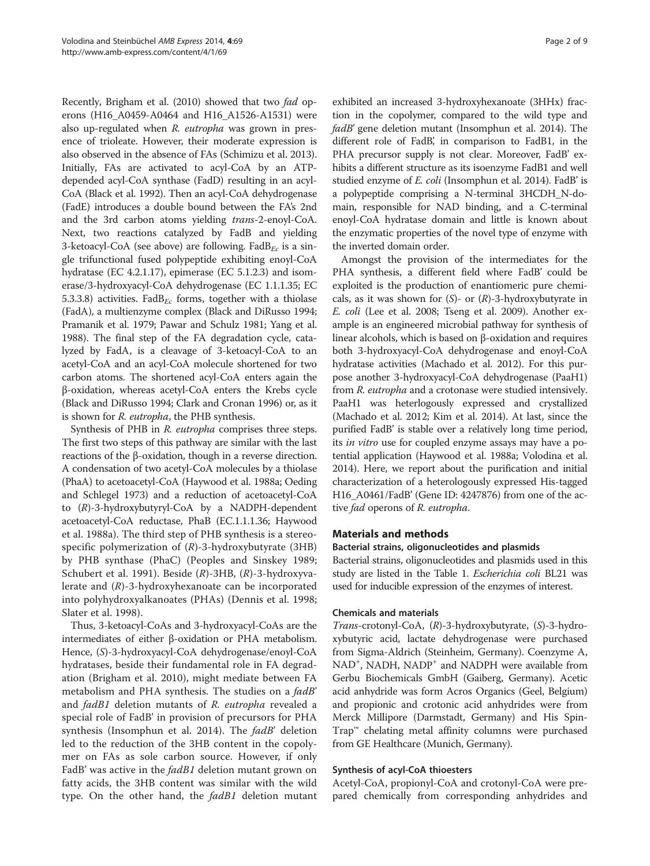<span id="page-1-0"></span>Recently, Brigham et al. ([2010\)](#page-8-0) showed that two fad operons (H16\_A0459-A0464 and H16\_A1526-A1531) were also up-regulated when R. eutropha was grown in presence of trioleate. However, their moderate expression is also observed in the absence of FAs (Schimizu et al. [2013](#page-8-0)). Initially, FAs are activated to acyl-CoA by an ATPdepended acyl-CoA synthase (FadD) resulting in an acyl-CoA (Black et al. [1992\)](#page-8-0). Then an acyl-CoA dehydrogenase (FadE) introduces a double bound between the FA's 2nd and the 3rd carbon atoms yielding trans-2-enoyl-CoA. Next, two reactions catalyzed by FadB and yielding 3-ketoacyl-CoA (see above) are following. Fad $B_{Fc}$  is a single trifunctional fused polypeptide exhibiting enoyl-CoA hydratase (EC 4.2.1.17), epimerase (EC 5.1.2.3) and isomerase/3-hydroxyacyl-CoA dehydrogenase (EC 1.1.1.35; EC 5.3.3.8) activities. Fad $B_{Ec}$  forms, together with a thiolase (FadA), a multienzyme complex (Black and DiRusso [1994](#page-8-0); Pramanik et al. [1979](#page-8-0); Pawar and Schulz [1981](#page-8-0); Yang et al. [1988\)](#page-8-0). The final step of the FA degradation cycle, catalyzed by FadA, is a cleavage of 3-ketoacyl-CoA to an acetyl-CoA and an acyl-CoA molecule shortened for two carbon atoms. The shortened acyl-CoA enters again the β-oxidation, whereas acetyl-CoA enters the Krebs cycle (Black and DiRusso [1994;](#page-8-0) Clark and Cronan [1996\)](#page-8-0) or, as it is shown for R. eutropha, the PHB synthesis.

Synthesis of PHB in R. eutropha comprises three steps. The first two steps of this pathway are similar with the last reactions of the β-oxidation, though in a reverse direction. A condensation of two acetyl-CoA molecules by a thiolase (PhaA) to acetoacetyl-CoA (Haywood et al. [1988a](#page-8-0); Oeding and Schlegel [1973\)](#page-8-0) and a reduction of acetoacetyl-CoA to (R)-3-hydroxybutyryl-CoA by a NADPH-dependent acetoacetyl-CoA reductase, PhaB (EC.1.1.1.36; Haywood et al. [1988a](#page-8-0)). The third step of PHB synthesis is a stereospecific polymerization of  $(R)$ -3-hydroxybutyrate (3HB) by PHB synthase (PhaC) (Peoples and Sinskey [1989](#page-8-0); Schubert et al. [1991\)](#page-8-0). Beside  $(R)$ -3HB,  $(R)$ -3-hydroxyvalerate and (R)-3-hydroxyhexanoate can be incorporated into polyhydroxyalkanoates (PHAs) (Dennis et al. [1998](#page-8-0); Slater et al. [1998\)](#page-8-0).

Thus, 3-ketoacyl-CoAs and 3-hydroxyacyl-CoAs are the intermediates of either β-oxidation or PHA metabolism. Hence, (S)-3-hydroxyacyl-CoA dehydrogenase/enoyl-CoA hydratases, beside their fundamental role in FA degradation (Brigham et al. [2010\)](#page-8-0), might mediate between FA metabolism and PHA synthesis. The studies on a *fadB*' and fadB1 deletion mutants of R. eutropha revealed a special role of FadB' in provision of precursors for PHA synthesis (Insomphun et al. [2014](#page-8-0)). The fadB' deletion led to the reduction of the 3HB content in the copolymer on FAs as sole carbon source. However, if only FadB' was active in the *fadB1* deletion mutant grown on fatty acids, the 3HB content was similar with the wild type. On the other hand, the fadB1 deletion mutant

exhibited an increased 3-hydroxyhexanoate (3HHx) fraction in the copolymer, compared to the wild type and fadB' gene deletion mutant (Insomphun et al. [2014\)](#page-8-0). The different role of FadB', in comparison to FadB1, in the PHA precursor supply is not clear. Moreover, FadB' exhibits a different structure as its isoenzyme FadB1 and well studied enzyme of *E. coli* (Insomphun et al. [2014](#page-8-0)). FadB' is a polypeptide comprising a N-terminal 3HCDH\_N-domain, responsible for NAD binding, and a C-terminal enoyl-CoA hydratase domain and little is known about the enzymatic properties of the novel type of enzyme with the inverted domain order.

Amongst the provision of the intermediates for the PHA synthesis, a different field where FadB' could be exploited is the production of enantiomeric pure chemicals, as it was shown for  $(S)$ - or  $(R)$ -3-hydroxybutyrate in E. coli (Lee et al. [2008](#page-8-0); Tseng et al. [2009\)](#page-8-0). Another example is an engineered microbial pathway for synthesis of linear alcohols, which is based on β-oxidation and requires both 3-hydroxyacyl-CoA dehydrogenase and enoyl-CoA hydratase activities (Machado et al. [2012\)](#page-8-0). For this purpose another 3-hydroxyacyl-CoA dehydrogenase (PaaH1) from R. eutropha and a crotonase were studied intensively. PaaH1 was heterlogously expressed and crystallized (Machado et al. [2012](#page-8-0); Kim et al. [2014](#page-8-0)). At last, since the purified FadB' is stable over a relatively long time period, its in vitro use for coupled enzyme assays may have a potential application (Haywood et al. [1988a;](#page-8-0) Volodina et al. [2014](#page-8-0)). Here, we report about the purification and initial characterization of a heterologously expressed His-tagged H16\_A0461/FadB' (Gene ID: 4247876) from one of the active fad operons of R. eutropha.

## Materials and methods

## Bacterial strains, oligonucleotides and plasmids

Bacterial strains, oligonucleotides and plasmids used in this study are listed in the Table [1.](#page-2-0) Escherichia coli BL21 was used for inducible expression of the enzymes of interest.

## Chemicals and materials

Trans-crotonyl-CoA, (R)-3-hydroxybutyrate, (S)-3-hydroxybutyric acid, lactate dehydrogenase were purchased from Sigma-Aldrich (Steinheim, Germany). Coenzyme A, NAD<sup>+</sup>, NADH, NADP<sup>+</sup> and NADPH were available from Gerbu Biochemicals GmbH (Gaiberg, Germany). Acetic acid anhydride was form Acros Organics (Geel, Belgium) and propionic and crotonic acid anhydrides were from Merck Millipore (Darmstadt, Germany) and His Spin-Trap™ chelating metal affinity columns were purchased from GE Healthcare (Munich, Germany).

## Synthesis of acyl-CoA thioesters

Acetyl-CoA, propionyl-CoA and crotonyl-CoA were prepared chemically from corresponding anhydrides and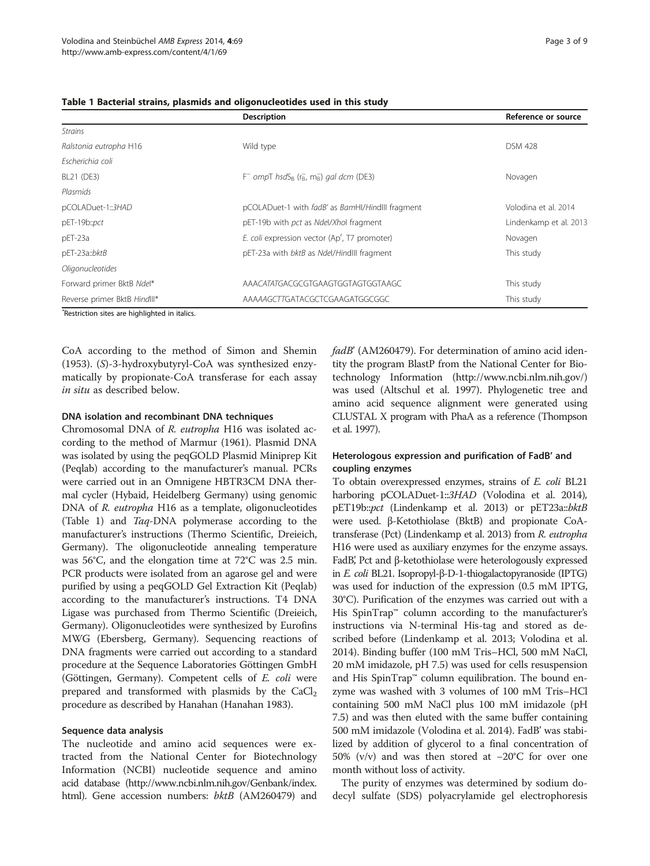|                           | Reference or source                                                   |                        |
|---------------------------|-----------------------------------------------------------------------|------------------------|
| <b>Strains</b>            |                                                                       |                        |
| Ralstonia eutropha H16    | Wild type                                                             | <b>DSM 428</b>         |
| Escherichia coli          |                                                                       |                        |
| BL21 (DE3)                | $F^-$ ompT hsdS <sub>B</sub> ( $r_B$ , m <sub>B</sub> ) gal dcm (DE3) | Novagen                |
| Plasmids                  |                                                                       |                        |
| pCOLADuet-1::3HAD         | pCOLADuet-1 with fadB' as BamHI/HindIII fragment                      | Volodina et al. 2014   |
| pET-19b::pct              | pET-19b with pct as Ndel/Xhol fragment                                | Lindenkamp et al. 2013 |
| $pET-23a$                 | E. coli expression vector (Ap', T7 promoter)                          | Novagen                |
| pET-23a::bktB             | pET-23a with bktB as Ndel/HindIII fragment                            | This study             |
| Oligonucleotides          |                                                                       |                        |
| Forward primer BktB Ndel* | AAACATATGACGCGTGAAGTGGTAGTGGTAAGC                                     | This study             |

Reverse primer BktB HindIII\* This study AAAAAGCTTGATACGCTCGAAGATGGCGGC This study

## <span id="page-2-0"></span>Table 1 Bacterial strains, plasmids and oligonucleotides used in this study

\* Restriction sites are highlighted in italics.

CoA according to the method of Simon and Shemin ([1953](#page-8-0)). (S)-3-hydroxybutyryl-CoA was synthesized enzymatically by propionate-CoA transferase for each assay in situ as described below.

## DNA isolation and recombinant DNA techniques

Chromosomal DNA of R. eutropha H16 was isolated according to the method of Marmur ([1961\)](#page-8-0). Plasmid DNA was isolated by using the peqGOLD Plasmid Miniprep Kit (Peqlab) according to the manufacturer's manual. PCRs were carried out in an Omnigene HBTR3CM DNA thermal cycler (Hybaid, Heidelberg Germany) using genomic DNA of R. eutropha H16 as a template, oligonucleotides (Table 1) and Taq-DNA polymerase according to the manufacturer's instructions (Thermo Scientific, Dreieich, Germany). The oligonucleotide annealing temperature was 56°C, and the elongation time at 72°C was 2.5 min. PCR products were isolated from an agarose gel and were purified by using a peqGOLD Gel Extraction Kit (Peqlab) according to the manufacturer's instructions. T4 DNA Ligase was purchased from Thermo Scientific (Dreieich, Germany). Oligonucleotides were synthesized by Eurofins MWG (Ebersberg, Germany). Sequencing reactions of DNA fragments were carried out according to a standard procedure at the Sequence Laboratories Göttingen GmbH (Göttingen, Germany). Competent cells of E. coli were prepared and transformed with plasmids by the  $CaCl<sub>2</sub>$ procedure as described by Hanahan (Hanahan [1983](#page-8-0)).

## Sequence data analysis

The nucleotide and amino acid sequences were extracted from the National Center for Biotechnology Information (NCBI) nucleotide sequence and amino acid database ([http://www.ncbi.nlm.nih.gov/Genbank/index.](http://www.ncbi.nlm.nih.gov/Genbank/index.html) [html\)](http://www.ncbi.nlm.nih.gov/Genbank/index.html). Gene accession numbers: bktB (AM260479) and fadB' (AM260479). For determination of amino acid identity the program BlastP from the National Center for Biotechnology Information (<http://www.ncbi.nlm.nih.gov/>) was used (Altschul et al. [1997](#page-8-0)). Phylogenetic tree and amino acid sequence alignment were generated using CLUSTAL X program with PhaA as a reference (Thompson et al. [1997\)](#page-8-0).

## Heterologous expression and purification of FadB' and coupling enzymes

To obtain overexpressed enzymes, strains of E. coli BL21 harboring pCOLADuet-1::3HAD (Volodina et al. [2014](#page-8-0)), pET19b::pct (Lindenkamp et al. [2013\)](#page-8-0) or pET23a::bktB were used. β-Ketothiolase (BktB) and propionate CoAtransferase (Pct) (Lindenkamp et al. [2013\)](#page-8-0) from R. eutropha H16 were used as auxiliary enzymes for the enzyme assays. FadB, Pct and β-ketothiolase were heterologously expressed in *E. coli* BL21. Isopropyl-β-D-1-thiogalactopyranoside (IPTG) was used for induction of the expression (0.5 mM IPTG, 30°C). Purification of the enzymes was carried out with a His SpinTrap™ column according to the manufacturer's instructions via N-terminal His-tag and stored as described before (Lindenkamp et al. [2013](#page-8-0); Volodina et al. [2014](#page-8-0)). Binding buffer (100 mM Tris–HCl, 500 mM NaCl, 20 mM imidazole, pH 7.5) was used for cells resuspension and His SpinTrap™ column equilibration. The bound enzyme was washed with 3 volumes of 100 mM Tris–HCl containing 500 mM NaCl plus 100 mM imidazole (pH 7.5) and was then eluted with the same buffer containing 500 mM imidazole (Volodina et al. [2014](#page-8-0)). FadB' was stabilized by addition of glycerol to a final concentration of 50% (v/v) and was then stored at −20°C for over one month without loss of activity.

The purity of enzymes was determined by sodium dodecyl sulfate (SDS) polyacrylamide gel electrophoresis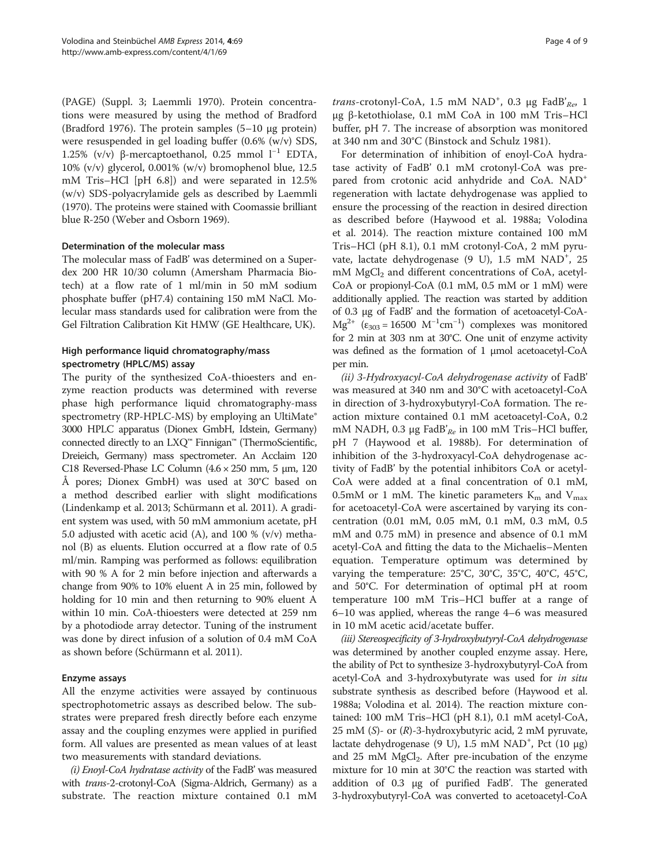(PAGE) (Suppl. 3; Laemmli [1970\)](#page-8-0). Protein concentrations were measured by using the method of Bradford (Bradford [1976](#page-8-0)). The protein samples (5–10 μg protein) were resuspended in gel loading buffer (0.6% (w/v) SDS, 1.25% (v/v) β-mercaptoethanol, 0.25 mmol l<sup>-1</sup> EDTA, 10% (v/v) glycerol, 0.001% (w/v) bromophenol blue, 12.5 mM Tris–HCl [pH 6.8]) and were separated in 12.5% (w/v) SDS-polyacrylamide gels as described by Laemmli ([1970](#page-8-0)). The proteins were stained with Coomassie brilliant blue R-250 (Weber and Osborn [1969](#page-8-0)).

## Determination of the molecular mass

The molecular mass of FadB' was determined on a Superdex 200 HR 10/30 column (Amersham Pharmacia Biotech) at a flow rate of 1 ml/min in 50 mM sodium phosphate buffer (pH7.4) containing 150 mM NaCl. Molecular mass standards used for calibration were from the Gel Filtration Calibration Kit HMW (GE Healthcare, UK).

## High performance liquid chromatography/mass spectrometry (HPLC/MS) assay

The purity of the synthesized CoA-thioesters and enzyme reaction products was determined with reverse phase high performance liquid chromatography-mass spectrometry (RP-HPLC-MS) by employing an UltiMate® 3000 HPLC apparatus (Dionex GmbH, Idstein, Germany) connected directly to an LXQ™ Finnigan™ (ThermoScientific, Dreieich, Germany) mass spectrometer. An Acclaim 120 C18 Reversed-Phase LC Column (4.6 × 250 mm, 5 μm, 120 Å pores; Dionex GmbH) was used at 30°C based on a method described earlier with slight modifications (Lindenkamp et al. [2013](#page-8-0); Schürmann et al. [2011](#page-8-0)). A gradient system was used, with 50 mM ammonium acetate, pH 5.0 adjusted with acetic acid (A), and 100 % (v/v) methanol (B) as eluents. Elution occurred at a flow rate of 0.5 ml/min. Ramping was performed as follows: equilibration with 90 % A for 2 min before injection and afterwards a change from 90% to 10% eluent A in 25 min, followed by holding for 10 min and then returning to 90% eluent A within 10 min. CoA-thioesters were detected at 259 nm by a photodiode array detector. Tuning of the instrument was done by direct infusion of a solution of 0.4 mM CoA as shown before (Schürmann et al. [2011\)](#page-8-0).

## Enzyme assays

All the enzyme activities were assayed by continuous spectrophotometric assays as described below. The substrates were prepared fresh directly before each enzyme assay and the coupling enzymes were applied in purified form. All values are presented as mean values of at least two measurements with standard deviations.

(i) Enoyl-CoA hydratase activity of the FadB' was measured with *trans-2-crotonyl-CoA* (Sigma-Aldrich, Germany) as a substrate. The reaction mixture contained 0.1 mM

trans-crotonyl-CoA, 1.5 mM NAD<sup>+</sup>, 0.3 μg FadB'<sub>Re</sub>, 1 μg β-ketothiolase, 0.1 mM CoA in 100 mM Tris–HCl buffer, pH 7. The increase of absorption was monitored at 340 nm and 30°C (Binstock and Schulz [1981](#page-8-0)).

For determination of inhibition of enoyl-CoA hydratase activity of FadB' 0.1 mM crotonyl-CoA was prepared from crotonic acid anhydride and CoA. NAD+ regeneration with lactate dehydrogenase was applied to ensure the processing of the reaction in desired direction as described before (Haywood et al. [1988a;](#page-8-0) Volodina et al. [2014\)](#page-8-0). The reaction mixture contained 100 mM Tris–HCl (pH 8.1), 0.1 mM crotonyl-CoA, 2 mM pyruvate, lactate dehydrogenase (9 U), 1.5 mM NAD<sup>+</sup>, 25  $mM MgCl<sub>2</sub>$  and different concentrations of CoA, acetyl-CoA or propionyl-CoA (0.1 mM, 0.5 mM or 1 mM) were additionally applied. The reaction was started by addition of 0.3 μg of FadB' and the formation of acetoacetyl-CoA- $Mg^{2+}$  ( $\varepsilon_{303} = 16500 \ M^{-1}cm^{-1}$ ) complexes was monitored for 2 min at 303 nm at 30°C. One unit of enzyme activity was defined as the formation of 1 μmol acetoacetyl-CoA per min.

(ii) 3-Hydroxyacyl-CoA dehydrogenase activity of FadB' was measured at 340 nm and 30°C with acetoacetyl-CoA in direction of 3-hydroxybutyryl-CoA formation. The reaction mixture contained 0.1 mM acetoacetyl-CoA, 0.2 mM NADH, 0.3 μg FadB'<sub>Re</sub> in 100 mM Tris–HCl buffer, pH 7 (Haywood et al. [1988b\)](#page-8-0). For determination of inhibition of the 3-hydroxyacyl-CoA dehydrogenase activity of FadB' by the potential inhibitors CoA or acetyl-CoA were added at a final concentration of 0.1 mM, 0.5mM or 1 mM. The kinetic parameters  $K_m$  and  $V_{max}$ for acetoacetyl-CoA were ascertained by varying its concentration (0.01 mM, 0.05 mM, 0.1 mM, 0.3 mM, 0.5 mM and 0.75 mM) in presence and absence of 0.1 mM acetyl-CoA and fitting the data to the Michaelis–Menten equation. Temperature optimum was determined by varying the temperature: 25°C, 30°C, 35°C, 40°C, 45°C, and 50°C. For determination of optimal pH at room temperature 100 mM Tris–HCl buffer at a range of 6–10 was applied, whereas the range 4–6 was measured in 10 mM acetic acid/acetate buffer.

(iii) Stereospecificity of 3-hydroxybutyryl-CoA dehydrogenase was determined by another coupled enzyme assay. Here, the ability of Pct to synthesize 3-hydroxybutyryl-CoA from acetyl-CoA and 3-hydroxybutyrate was used for in situ substrate synthesis as described before (Haywood et al. [1988a](#page-8-0); Volodina et al. [2014\)](#page-8-0). The reaction mixture contained: 100 mM Tris–HCl (pH 8.1), 0.1 mM acetyl-CoA, 25 mM (S)- or (R)-3-hydroxybutyric acid, 2 mM pyruvate, lactate dehydrogenase (9 U), 1.5 mM NAD<sup>+</sup>, Pct (10 μg) and 25 mM  $MgCl<sub>2</sub>$ . After pre-incubation of the enzyme mixture for 10 min at 30°C the reaction was started with addition of 0.3 μg of purified FadB'. The generated 3-hydroxybutyryl-CoA was converted to acetoacetyl-CoA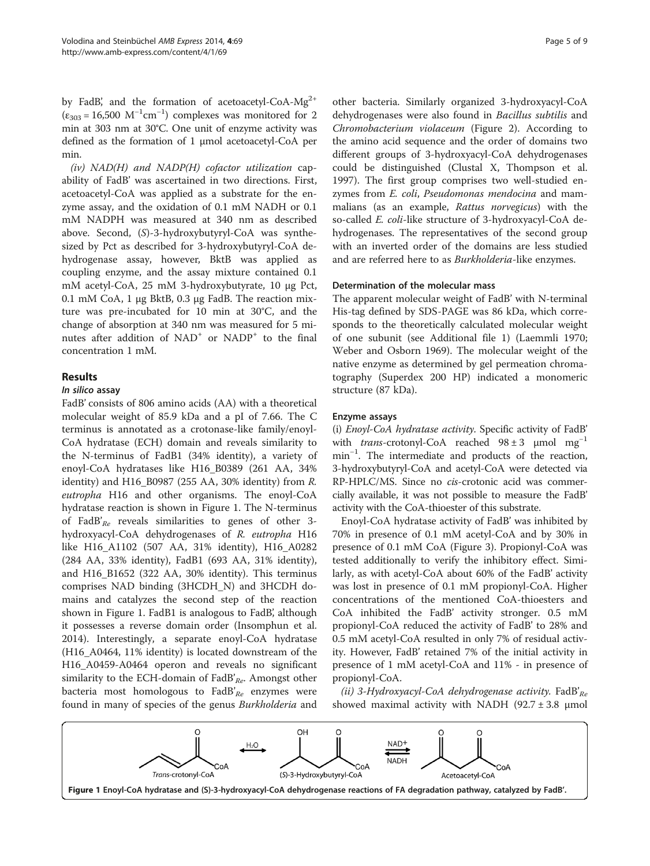<span id="page-4-0"></span>by FadB', and the formation of acetoacetyl-CoA- $Mg^{2+}$  $(\varepsilon_{303} = 16,500 \text{ M}^{-1} \text{cm}^{-1})$  complexes was monitored for 2 min at 303 nm at 30°C. One unit of enzyme activity was defined as the formation of 1 μmol acetoacetyl-CoA per min.

(iv) NAD(H) and NADP(H) cofactor utilization capability of FadB' was ascertained in two directions. First, acetoacetyl-CoA was applied as a substrate for the enzyme assay, and the oxidation of 0.1 mM NADH or 0.1 mM NADPH was measured at 340 nm as described above. Second, (S)-3-hydroxybutyryl-CoA was synthesized by Pct as described for 3-hydroxybutyryl-CoA dehydrogenase assay, however, BktB was applied as coupling enzyme, and the assay mixture contained 0.1 mM acetyl-CoA, 25 mM 3-hydroxybutyrate, 10 μg Pct, 0.1 mM CoA, 1 μg BktB, 0.3 μg FadB. The reaction mixture was pre-incubated for 10 min at 30°C, and the change of absorption at 340 nm was measured for 5 minutes after addition of NAD<sup>+</sup> or NADP<sup>+</sup> to the final concentration 1 mM.

## Results

#### In silico assay

FadB' consists of 806 amino acids (AA) with a theoretical molecular weight of 85.9 kDa and a pI of 7.66. The C terminus is annotated as a crotonase-like family/enoyl-CoA hydratase (ECH) domain and reveals similarity to the N-terminus of FadB1 (34% identity), a variety of enoyl-CoA hydratases like H16\_B0389 (261 AA, 34% identity) and H16 B0987 (255 AA, 30% identity) from  $R$ . eutropha H16 and other organisms. The enoyl-CoA hydratase reaction is shown in Figure 1. The N-terminus of FadB'<sub>Re</sub> reveals similarities to genes of other 3hydroxyacyl-CoA dehydrogenases of R. eutropha H16 like H16\_A1102 (507 AA, 31% identity), H16\_A0282 (284 AA, 33% identity), FadB1 (693 AA, 31% identity), and H16\_B1652 (322 AA, 30% identity). This terminus comprises NAD binding (3HCDH\_N) and 3HCDH domains and catalyzes the second step of the reaction shown in Figure 1. FadB1 is analogous to FadB', although it possesses a reverse domain order (Insomphun et al. [2014](#page-8-0)). Interestingly, a separate enoyl-CoA hydratase (H16\_A0464, 11% identity) is located downstream of the H16\_A0459-A0464 operon and reveals no significant similarity to the ECH-domain of FadB' $_{Re}$ . Amongst other bacteria most homologous to  $FadB'_{Re}$  enzymes were found in many of species of the genus Burkholderia and other bacteria. Similarly organized 3-hydroxyacyl-CoA dehydrogenases were also found in Bacillus subtilis and Chromobacterium violaceum (Figure [2](#page-5-0)). According to the amino acid sequence and the order of domains two different groups of 3-hydroxyacyl-CoA dehydrogenases could be distinguished (Clustal X, Thompson et al. [1997](#page-8-0)). The first group comprises two well-studied enzymes from E. coli, Pseudomonas mendocina and mammalians (as an example, Rattus norvegicus) with the so-called E. coli-like structure of 3-hydroxyacyl-CoA dehydrogenases. The representatives of the second group with an inverted order of the domains are less studied and are referred here to as Burkholderia-like enzymes.

#### Determination of the molecular mass

The apparent molecular weight of FadB' with N-terminal His-tag defined by SDS-PAGE was 86 kDa, which corresponds to the theoretically calculated molecular weight of one subunit (see Additional file [1](#page-7-0)) (Laemmli [1970](#page-8-0); Weber and Osborn [1969](#page-8-0)). The molecular weight of the native enzyme as determined by gel permeation chromatography (Superdex 200 HP) indicated a monomeric structure (87 kDa).

#### Enzyme assays

(i) Enoyl-CoA hydratase activity. Specific activity of FadB' with *trans-*crotonyl-CoA reached  $98 \pm 3$  µmol mg<sup>-1</sup> min−<sup>1</sup> . The intermediate and products of the reaction, 3-hydroxybutyryl-CoA and acetyl-CoA were detected via RP-HPLC/MS. Since no cis-crotonic acid was commercially available, it was not possible to measure the FadB' activity with the CoA-thioester of this substrate.

Enoyl-CoA hydratase activity of FadB' was inhibited by 70% in presence of 0.1 mM acetyl-CoA and by 30% in presence of 0.1 mM CoA (Figure [3\)](#page-5-0). Propionyl-CoA was tested additionally to verify the inhibitory effect. Similarly, as with acetyl-CoA about 60% of the FadB' activity was lost in presence of 0.1 mM propionyl-CoA. Higher concentrations of the mentioned CoA-thioesters and CoA inhibited the FadB' activity stronger. 0.5 mM propionyl-CoA reduced the activity of FadB' to 28% and 0.5 mM acetyl-CoA resulted in only 7% of residual activity. However, FadB' retained 7% of the initial activity in presence of 1 mM acetyl-CoA and 11% - in presence of propionyl-CoA.

(ii) 3-Hydroxyacyl-CoA dehydrogenase activity. FadB'<sub>Re</sub> showed maximal activity with NADH (92.7  $\pm$  3.8 µmol

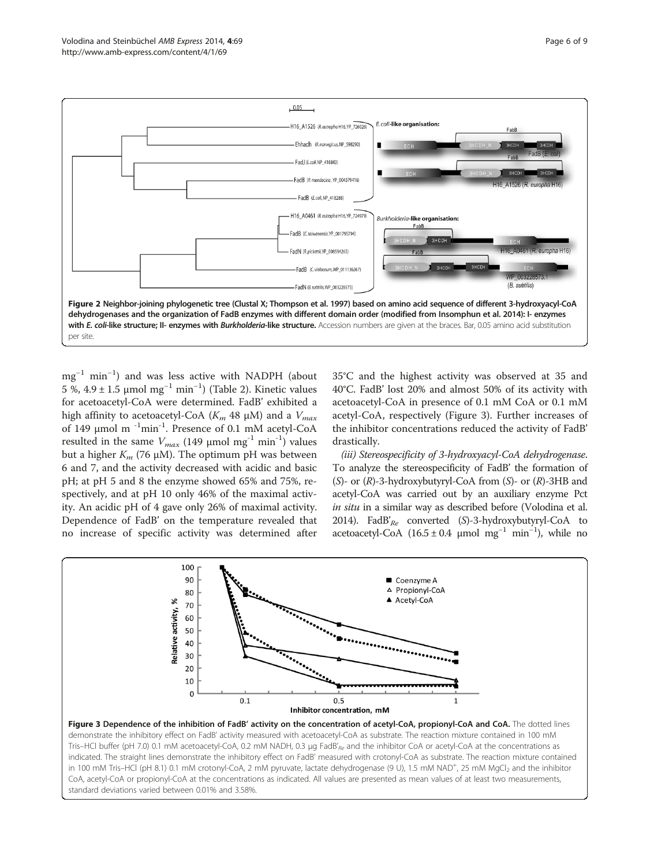<span id="page-5-0"></span>

mg−<sup>1</sup> min−<sup>1</sup> ) and was less active with NADPH (about 5 %, 4.9 ± 1.5 μmol mg<sup>-1</sup> min<sup>-1</sup>) (Table [2\)](#page-6-0). Kinetic values for acetoacetyl-CoA were determined. FadB' exhibited a high affinity to acetoacetyl-CoA ( $K_m$  48 μM) and a  $V_{max}$ of 149 μmol m -1min-1. Presence of 0.1 mM acetyl-CoA resulted in the same  $V_{max}$  (149 µmol mg<sup>-1</sup> min<sup>-1</sup>) values but a higher  $K_m$  (76 μM). The optimum pH was between 6 and 7, and the activity decreased with acidic and basic pH; at pH 5 and 8 the enzyme showed 65% and 75%, respectively, and at pH 10 only 46% of the maximal activity. An acidic pH of 4 gave only 26% of maximal activity. Dependence of FadB' on the temperature revealed that no increase of specific activity was determined after 35°C and the highest activity was observed at 35 and 40°C. FadB' lost 20% and almost 50% of its activity with acetoacetyl-CoA in presence of 0.1 mM CoA or 0.1 mM acetyl-CoA, respectively (Figure 3). Further increases of the inhibitor concentrations reduced the activity of FadB' drastically.

(iii) Stereospecificity of 3-hydroxyacyl-CoA dehydrogenase. To analyze the stereospecificity of FadB' the formation of  $(S)$ - or  $(R)$ -3-hydroxybutyryl-CoA from  $(S)$ - or  $(R)$ -3HB and acetyl-CoA was carried out by an auxiliary enzyme Pct in situ in a similar way as described before (Volodina et al. [2014\)](#page-8-0). FadB' $_{Re}$  converted (S)-3-hydroxybutyryl-CoA to acetoacetyl-CoA (16.5 ± 0.4 μmol mg<sup>-1</sup> min<sup>-1</sup>), while no

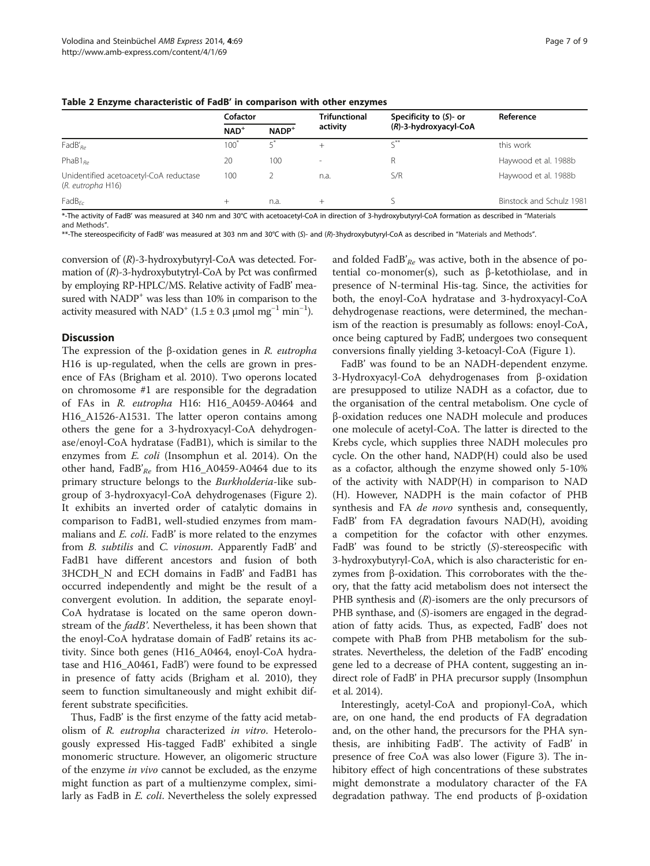|                                                             | Cofactor         |         | <b>Trifunctional</b> | Specificity to $(S)$ - or | Reference                |
|-------------------------------------------------------------|------------------|---------|----------------------|---------------------------|--------------------------|
|                                                             | $NAD+$           | $NADP+$ | activity             | (R)-3-hydroxyacyl-CoA     |                          |
| $FadB'_{Re}$                                                | 100 <sup>°</sup> |         | $^{+}$               |                           | this work                |
| PhaB $1_{Re}$                                               | 20               | 100     | ۰.                   |                           | Haywood et al. 1988b     |
| Unidentified acetoacetyl-CoA reductase<br>(R. eutropha H16) | 100              |         | n.a.                 | S/R                       | Haywood et al. 1988b     |
| FadB <sub>Fr</sub>                                          | $^{+}$           | n.a.    | $^{+}$               |                           | Binstock and Schulz 1981 |

<span id="page-6-0"></span>Table 2 Enzyme characteristic of FadB' in comparison with other enzymes

\*-The activity of FadB' was measured at 340 nm and 30°C with acetoacetyl-CoA in direction of 3-hydroxybutyryl-CoA formation as described in "[Materials](#page-1-0) [and Methods](#page-1-0)".

\*\*-The stereospecificity of FadB' was measured at 303 nm and 30°C with (S)- and (R)-3hydroxybutyryl-CoA as described in "[Materials and Methods](#page-1-0)".

conversion of (R)-3-hydroxybutyryl-CoA was detected. Formation of (R)-3-hydroxybutytryl-CoA by Pct was confirmed by employing RP-HPLC/MS. Relative activity of FadB' measured with NADP<sup>+</sup> was less than 10% in comparison to the activity measured with NAD<sup>+</sup> (1.5 ± 0.3 µmol mg<sup>-1</sup> min<sup>-1</sup>).

## **Discussion**

The expression of the β-oxidation genes in R. eutropha H16 is up-regulated, when the cells are grown in presence of FAs (Brigham et al. [2010](#page-8-0)). Two operons located on chromosome #1 are responsible for the degradation of FAs in R. eutropha H16: H16\_A0459-A0464 and H16\_A1526-A1531. The latter operon contains among others the gene for a 3-hydroxyacyl-CoA dehydrogenase/enoyl-CoA hydratase (FadB1), which is similar to the enzymes from E. coli (Insomphun et al. [2014](#page-8-0)). On the other hand, FadB' $_{Re}$  from H16\_A0459-A0464 due to its primary structure belongs to the Burkholderia-like subgroup of 3-hydroxyacyl-CoA dehydrogenases (Figure [2](#page-5-0)). It exhibits an inverted order of catalytic domains in comparison to FadB1, well-studied enzymes from mammalians and E. coli. FadB' is more related to the enzymes from *B. subtilis* and *C. vinosum*. Apparently FadB' and FadB1 have different ancestors and fusion of both 3HCDH\_N and ECH domains in FadB' and FadB1 has occurred independently and might be the result of a convergent evolution. In addition, the separate enoyl-CoA hydratase is located on the same operon downstream of the *fadB'*. Nevertheless, it has been shown that the enoyl-CoA hydratase domain of FadB' retains its activity. Since both genes (H16\_A0464, enoyl-CoA hydratase and H16\_A0461, FadB') were found to be expressed in presence of fatty acids (Brigham et al. [2010\)](#page-8-0), they seem to function simultaneously and might exhibit different substrate specificities.

Thus, FadB' is the first enzyme of the fatty acid metabolism of R. eutropha characterized in vitro. Heterologously expressed His-tagged FadB' exhibited a single monomeric structure. However, an oligomeric structure of the enzyme in vivo cannot be excluded, as the enzyme might function as part of a multienzyme complex, similarly as FadB in E. coli. Nevertheless the solely expressed

and folded FadB'<sub>Re</sub> was active, both in the absence of potential co-monomer(s), such as β-ketothiolase, and in presence of N-terminal His-tag. Since, the activities for both, the enoyl-CoA hydratase and 3-hydroxyacyl-CoA dehydrogenase reactions, were determined, the mechanism of the reaction is presumably as follows: enoyl-CoA, once being captured by FadB', undergoes two consequent conversions finally yielding 3-ketoacyl-CoA (Figure [1](#page-4-0)).

FadB' was found to be an NADH-dependent enzyme. 3-Hydroxyacyl-CoA dehydrogenases from β-oxidation are presupposed to utilize NADH as a cofactor, due to the organisation of the central metabolism. One cycle of β-oxidation reduces one NADH molecule and produces one molecule of acetyl-CoA. The latter is directed to the Krebs cycle, which supplies three NADH molecules pro cycle. On the other hand, NADP(H) could also be used as a cofactor, although the enzyme showed only 5-10% of the activity with NADP(H) in comparison to NAD (H). However, NADPH is the main cofactor of PHB synthesis and FA de novo synthesis and, consequently, FadB' from FA degradation favours NAD(H), avoiding a competition for the cofactor with other enzymes. FadB' was found to be strictly (S)-stereospecific with 3-hydroxybutyryl-CoA, which is also characteristic for enzymes from β-oxidation. This corroborates with the theory, that the fatty acid metabolism does not intersect the PHB synthesis and  $(R)$ -isomers are the only precursors of PHB synthase, and (S)-isomers are engaged in the degradation of fatty acids. Thus, as expected, FadB' does not compete with PhaB from PHB metabolism for the substrates. Nevertheless, the deletion of the FadB' encoding gene led to a decrease of PHA content, suggesting an indirect role of FadB' in PHA precursor supply (Insomphun et al. [2014](#page-8-0)).

Interestingly, acetyl-CoA and propionyl-CoA, which are, on one hand, the end products of FA degradation and, on the other hand, the precursors for the PHA synthesis, are inhibiting FadB'. The activity of FadB' in presence of free CoA was also lower (Figure [3](#page-5-0)). The inhibitory effect of high concentrations of these substrates might demonstrate a modulatory character of the FA degradation pathway. The end products of β-oxidation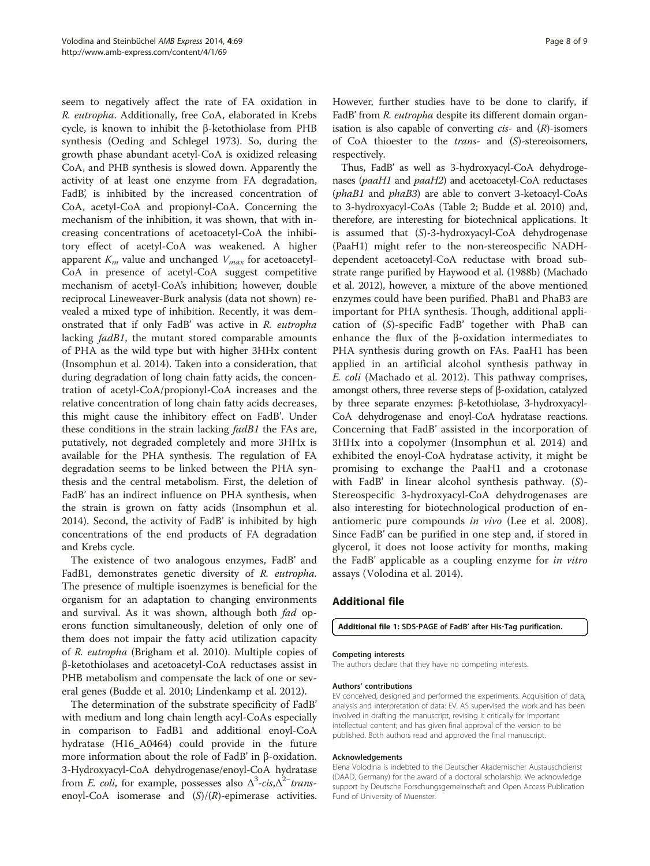<span id="page-7-0"></span>seem to negatively affect the rate of FA oxidation in R. eutropha. Additionally, free CoA, elaborated in Krebs cycle, is known to inhibit the β-ketothiolase from PHB synthesis (Oeding and Schlegel [1973\)](#page-8-0). So, during the growth phase abundant acetyl-CoA is oxidized releasing CoA, and PHB synthesis is slowed down. Apparently the activity of at least one enzyme from FA degradation, FadB', is inhibited by the increased concentration of CoA, acetyl-CoA and propionyl-CoA. Concerning the mechanism of the inhibition, it was shown, that with increasing concentrations of acetoacetyl-CoA the inhibitory effect of acetyl-CoA was weakened. A higher apparent  $K_m$  value and unchanged  $V_{max}$  for acetoacetyl-CoA in presence of acetyl-CoA suggest competitive mechanism of acetyl-CoA's inhibition; however, double reciprocal Lineweaver-Burk analysis (data not shown) revealed a mixed type of inhibition. Recently, it was demonstrated that if only FadB' was active in R. eutropha lacking fadB1, the mutant stored comparable amounts of PHA as the wild type but with higher 3HHx content (Insomphun et al. [2014\)](#page-8-0). Taken into a consideration, that during degradation of long chain fatty acids, the concentration of acetyl-CoA/propionyl-CoA increases and the relative concentration of long chain fatty acids decreases, this might cause the inhibitory effect on FadB'. Under these conditions in the strain lacking *fadB1* the FAs are, putatively, not degraded completely and more 3HHx is available for the PHA synthesis. The regulation of FA degradation seems to be linked between the PHA synthesis and the central metabolism. First, the deletion of FadB' has an indirect influence on PHA synthesis, when the strain is grown on fatty acids (Insomphun et al. [2014](#page-8-0)). Second, the activity of FadB' is inhibited by high concentrations of the end products of FA degradation and Krebs cycle.

The existence of two analogous enzymes, FadB' and FadB1, demonstrates genetic diversity of R. eutropha. The presence of multiple isoenzymes is beneficial for the organism for an adaptation to changing environments and survival. As it was shown, although both *fad* operons function simultaneously, deletion of only one of them does not impair the fatty acid utilization capacity of R. eutropha (Brigham et al. [2010\)](#page-8-0). Multiple copies of β-ketothiolases and acetoacetyl-CoA reductases assist in PHB metabolism and compensate the lack of one or several genes (Budde et al. [2010;](#page-8-0) Lindenkamp et al. [2012](#page-8-0)).

The determination of the substrate specificity of FadB' with medium and long chain length acyl-CoAs especially in comparison to FadB1 and additional enoyl-CoA hydratase (H16\_A0464) could provide in the future more information about the role of FadB' in β-oxidation. 3-Hydroxyacyl-CoA dehydrogenase/enoyl-CoA hydratase from *E. coli*, for example, possesses also  $\Delta^3$ -cis, $\Delta^2$ <sup>-</sup>transenoyl-CoA isomerase and  $(S)/(R)$ -epimerase activities.

However, further studies have to be done to clarify, if FadB' from R. eutropha despite its different domain organisation is also capable of converting  $cis$ - and  $(R)$ -isomers of CoA thioester to the trans- and (S)-stereoisomers, respectively.

Thus, FadB' as well as 3-hydroxyacyl-CoA dehydrogenases (*paaH1* and *paaH2*) and acetoacetyl-CoA reductases (phaB1 and phaB3) are able to convert 3-ketoacyl-CoAs to 3-hydroxyacyl-CoAs (Table [2;](#page-6-0) Budde et al. [2010\)](#page-8-0) and, therefore, are interesting for biotechnical applications. It is assumed that (S)-3-hydroxyacyl-CoA dehydrogenase (PaaH1) might refer to the non-stereospecific NADHdependent acetoacetyl-CoA reductase with broad substrate range purified by Haywood et al. ([1988b\)](#page-8-0) (Machado et al. [2012\)](#page-8-0), however, a mixture of the above mentioned enzymes could have been purified. PhaB1 and PhaB3 are important for PHA synthesis. Though, additional application of (S)-specific FadB' together with PhaB can enhance the flux of the β-oxidation intermediates to PHA synthesis during growth on FAs. PaaH1 has been applied in an artificial alcohol synthesis pathway in E. coli (Machado et al. [2012\)](#page-8-0). This pathway comprises, amongst others, three reverse steps of β-oxidation, catalyzed by three separate enzymes: β-ketothiolase, 3-hydroxyacyl-CoA dehydrogenase and enoyl-CoA hydratase reactions. Concerning that FadB' assisted in the incorporation of 3HHx into a copolymer (Insomphun et al. [2014\)](#page-8-0) and exhibited the enoyl-CoA hydratase activity, it might be promising to exchange the PaaH1 and a crotonase with FadB' in linear alcohol synthesis pathway. (S)- Stereospecific 3-hydroxyacyl-CoA dehydrogenases are also interesting for biotechnological production of en-antiomeric pure compounds in vivo (Lee et al. [2008](#page-8-0)). Since FadB' can be purified in one step and, if stored in glycerol, it does not loose activity for months, making the FadB' applicable as a coupling enzyme for in vitro assays (Volodina et al. [2014\)](#page-8-0).

## Additional file

[Additional file 1](http://www.amb-express.com/content/supplementary/s13568-014-0069-0-S1.pdf): SDS‐PAGE of FadB' after His‐Tag purification.

#### Competing interests

The authors declare that they have no competing interests.

#### Authors' contributions

EV conceived, designed and performed the experiments. Acquisition of data, analysis and interpretation of data: EV. AS supervised the work and has been involved in drafting the manuscript, revising it critically for important intellectual content; and has given final approval of the version to be published. Both authors read and approved the final manuscript.

#### Acknowledgements

Elena Volodina is indebted to the Deutscher Akademischer Austauschdienst (DAAD, Germany) for the award of a doctoral scholarship. We acknowledge support by Deutsche Forschungsgemeinschaft and Open Access Publication Fund of University of Muenster.